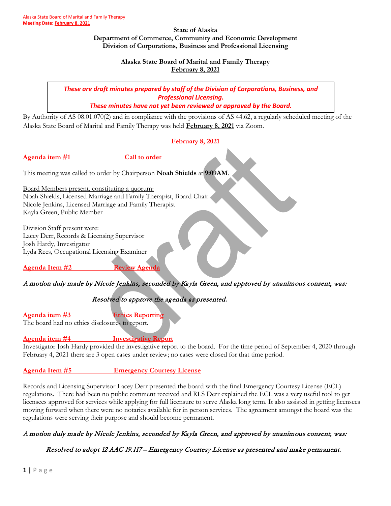#### **State of Alaska Department of Commerce, Community and Economic Development Division of Corporations, Business and Professional Licensing**

**Alaska State Board of Marital and Family Therapy February 8, 2021**

*These are draft minutes prepared by staff of the Division of Corporations, Business, and Professional Licensing.*

*These minutes have not yet been reviewed or approved by the Board.*

By Authority of AS 08.01.070(2) and in compliance with the provisions of AS 44.62, a regularly scheduled meeting of the Alaska State Board of Marital and Family Therapy was held **February 8, 2021** via Zoom.

## **February 8, 2021**

**Agenda item #1** Call to order

This meeting was called to order by Chairperson **Noah Shields** at **9:09AM**.

Board Members present, constituting a quorum: Noah Shields, Licensed Marriage and Family Therapist, Board Chair Nicole Jenkins, Licensed Marriage and Family Therapist Kayla Green, Public Member

Division Staff present were: Lacey Derr, Records & Licensing Supervisor Josh Hardy, Investigator Lyda Rees, Occupational Licensing Examiner

**Agenda Item #2 Review Agenda**

# A motion duly made by Nicole Jenkins, seconded by Kayla Green, and approved by unanimous consent, was:

# Resolved to approve the agenda as presented.

**Agenda item #3 Ethics Reporting** 

The board had no ethics disclosures to report.

**Agenda item #4 Investigative Report**

Investigator Josh Hardy provided the investigative report to the board. For the time period of September 4, 2020 through February 4, 2021 there are 3 open cases under review; no cases were closed for that time period.

**Agenda Item #5 Emergency Courtesy License**

Records and Licensing Supervisor Lacey Derr presented the board with the final Emergency Courtesy License (ECL) regulations. There had been no public comment received and RLS Derr explained the ECL was a very useful tool to get licensees approved for services while applying for full licensure to serve Alaska long term. It also assisted in getting licensees moving forward when there were no notaries available for in person services. The agreement amongst the board was the regulations were serving their purpose and should become permanent.

# A motion duly made by Nicole Jenkins, seconded by Kayla Green, and approved by unanimous consent, was:

Resolved to adopt 12 AAC 19.117 – Emergency Courtesy License as presented and make permanent.